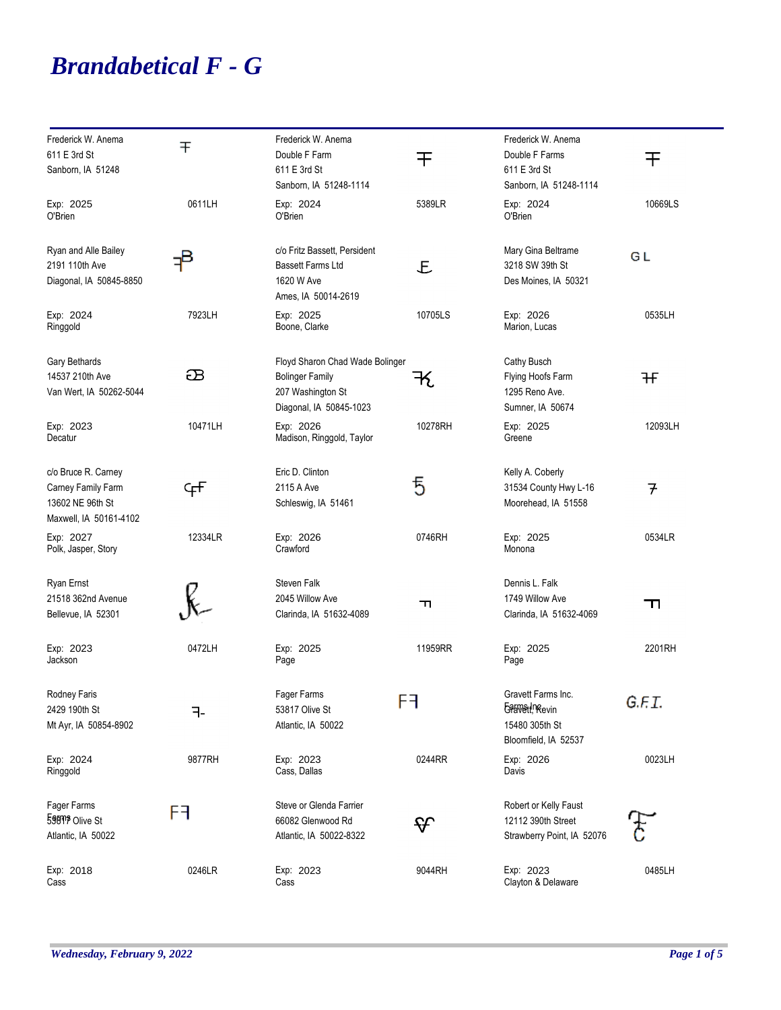## *Brandabetical F - G*

| Frederick W. Anema<br>611 E 3rd St<br>Sanborn, IA 51248                                 | 干       | Frederick W. Anema<br>Double F Farm<br>611 E 3rd St<br>Sanborn, IA 51248-1114                             | 干       | Frederick W. Anema<br>Double F Farms<br>611 E 3rd St<br>Sanborn, IA 51248-1114 | 干                 |
|-----------------------------------------------------------------------------------------|---------|-----------------------------------------------------------------------------------------------------------|---------|--------------------------------------------------------------------------------|-------------------|
| Exp: 2025<br>O'Brien                                                                    | 0611LH  | Exp: 2024<br>O'Brien                                                                                      | 5389LR  | Exp: 2024<br>O'Brien                                                           | 10669LS           |
| Ryan and Alle Bailey<br>2191 110th Ave<br>Diagonal, IA 50845-8850                       | ₽       | c/o Fritz Bassett, Persident<br><b>Bassett Farms Ltd</b><br>1620 W Ave<br>Ames, IA 50014-2619             | E       | Mary Gina Beltrame<br>3218 SW 39th St<br>Des Moines, IA 50321                  | GL                |
| Exp: 2024<br>Ringgold                                                                   | 7923LH  | Exp: 2025<br>Boone, Clarke                                                                                | 10705LS | Exp: 2026<br>Marion, Lucas                                                     | 0535LH            |
| Gary Bethards<br>14537 210th Ave<br>Van Wert, IA 50262-5044                             | æ       | Floyd Sharon Chad Wade Bolinger<br><b>Bolinger Family</b><br>207 Washington St<br>Diagonal, IA 50845-1023 | 七       | Cathy Busch<br>Flying Hoofs Farm<br>1295 Reno Ave.<br>Sumner, IA 50674         | 幵                 |
| Exp: 2023<br>Decatur                                                                    | 10471LH | Exp: 2026<br>Madison, Ringgold, Taylor                                                                    | 10278RH | Exp: 2025<br>Greene                                                            | 12093LH           |
| c/o Bruce R. Carney<br>Carney Family Farm<br>13602 NE 96th St<br>Maxwell, IA 50161-4102 | ₠₽      | Eric D. Clinton<br>2115 A Ave<br>Schleswig, IA 51461                                                      | 5       | Kelly A. Coberly<br>31534 County Hwy L-16<br>Moorehead, IA 51558               | $\overline{\tau}$ |
| Exp: 2027<br>Polk, Jasper, Story                                                        | 12334LR | Exp: 2026<br>Crawford                                                                                     | 0746RH  | Exp: 2025<br>Monona                                                            | 0534LR            |
| Ryan Ernst<br>21518 362nd Avenue<br>Bellevue, IA 52301                                  |         | Steven Falk<br>2045 Willow Ave<br>Clarinda, IA 51632-4089                                                 | ᆩ       | Dennis L. Falk<br>1749 Willow Ave<br>Clarinda, IA 51632-4069                   | ᆩ                 |
| Exp: 2023<br>Jackson                                                                    | 0472LH  | Exp: 2025<br>Page                                                                                         | 11959RR | Exp: 2025<br>Page                                                              | 2201RH            |
| Rodney Faris<br>2429 190th St<br>Mt Ayr, IA 50854-8902                                  | ㅋ-      | Fager Farms<br>53817 Olive St<br>Atlantic, IA 50022                                                       | ۲H      | Gravett Farms Inc.<br>Gaswell, Revin<br>15480 305th St<br>Bloomfield, IA 52537 | G.F.I.            |
| Exp: 2024<br>Ringgold                                                                   | 9877RH  | Exp: 2023<br>Cass, Dallas                                                                                 | 0244RR  | Exp: 2026<br>Davis                                                             | 0023LH            |
| Fager Farms<br>59819 Olive St<br>Atlantic, IA 50022                                     | F٦      | Steve or Glenda Farrier<br>66082 Glenwood Rd<br>Atlantic, IA 50022-8322                                   | ᡩ       | Robert or Kelly Faust<br>12112 390th Street<br>Strawberry Point, IA 52076      |                   |
| Exp: 2018<br>Cass                                                                       | 0246LR  | Exp: 2023<br>Cass                                                                                         | 9044RH  | Exp: 2023<br>Clayton & Delaware                                                | 0485LH            |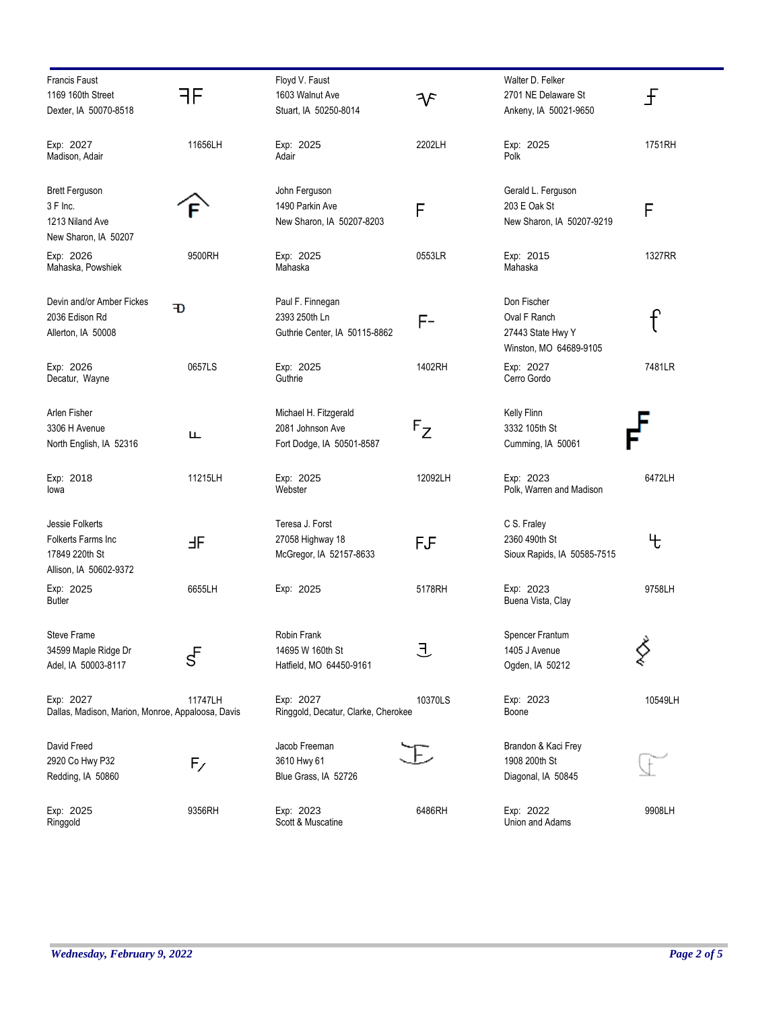| <b>Francis Faust</b><br>1169 160th Street<br>Dexter, IA 50070-8518                | ĦЕ                     | Floyd V. Faust<br>1603 Walnut Ave<br>Stuart, IA 50250-8014             | F       | Walter D. Felker<br>2701 NE Delaware St<br>Ankeny, IA 50021-9650           | £       |
|-----------------------------------------------------------------------------------|------------------------|------------------------------------------------------------------------|---------|----------------------------------------------------------------------------|---------|
| Exp: 2027<br>Madison, Adair                                                       | 11656LH                | Exp: 2025<br>Adair                                                     | 2202LH  | Exp: 2025<br>Polk                                                          | 1751RH  |
| <b>Brett Ferguson</b><br>3 F Inc.<br>1213 Niland Ave<br>New Sharon, IA 50207      |                        | John Ferguson<br>1490 Parkin Ave<br>New Sharon, IA 50207-8203          | F       | Gerald L. Ferguson<br>203 E Oak St<br>New Sharon, IA 50207-9219            | F       |
| Exp: 2026<br>Mahaska, Powshiek                                                    | 9500RH                 | Exp: 2025<br>Mahaska                                                   | 0553LR  | Exp: 2015<br>Mahaska                                                       | 1327RR  |
| Devin and/or Amber Fickes<br>2036 Edison Rd<br>Allerton, IA 50008                 | Ð                      | Paul F. Finnegan<br>2393 250th Ln<br>Guthrie Center, IA 50115-8862     | F-      | Don Fischer<br>Oval F Ranch<br>27443 State Hwy Y<br>Winston, MO 64689-9105 | ₽       |
| Exp: 2026<br>Decatur, Wayne                                                       | 0657LS                 | Exp: 2025<br>Guthrie                                                   | 1402RH  | Exp: 2027<br>Cerro Gordo                                                   | 7481LR  |
| Arlen Fisher<br>3306 H Avenue<br>North English, IA 52316                          | ட                      | Michael H. Fitzgerald<br>2081 Johnson Ave<br>Fort Dodge, IA 50501-8587 | $F_Z$   | Kelly Flinn<br>3332 105th St<br>Cumming, IA 50061                          |         |
| Exp: 2018<br>lowa                                                                 | 11215LH                | Exp: 2025<br>Webster                                                   | 12092LH | Exp: 2023<br>Polk, Warren and Madison                                      | 6472LH  |
| Jessie Folkerts<br>Folkerts Farms Inc<br>17849 220th St<br>Allison, IA 50602-9372 | ЬF                     | Teresa J. Forst<br>27058 Highway 18<br>McGregor, IA 52157-8633         | FÆ      | C S. Fraley<br>2360 490th St<br>Sioux Rapids, IA 50585-7515                | 七       |
| Exp: 2025<br><b>Butler</b>                                                        | 6655LH                 | Exp: 2025                                                              | 5178RH  | Exp: 2023<br>Buena Vista, Clay                                             | 9758LH  |
| Steve Frame<br>34599 Maple Ridge Dr<br>Adel, IA 50003-8117                        | $\varsigma^{\text{F}}$ | Robin Frank<br>14695 W 160th St<br>Hatfield, MO 64450-9161             | 且       | Spencer Frantum<br>1405 J Avenue<br>Ogden, IA 50212                        |         |
| Exp: 2027<br>Dallas, Madison, Marion, Monroe, Appaloosa, Davis                    | 11747LH                | Exp: 2027<br>Ringgold, Decatur, Clarke, Cherokee                       | 10370LS | Exp: 2023<br>Boone                                                         | 10549LH |
| David Freed<br>2920 Co Hwy P32<br>Redding, IA 50860                               | $F_{\diagup}$          | Jacob Freeman<br>3610 Hwy 61<br>Blue Grass, IA 52726                   |         | Brandon & Kaci Frey<br>1908 200th St<br>Diagonal, IA 50845                 |         |
| Exp: 2025<br>Ringgold                                                             | 9356RH                 | Exp: 2023<br>Scott & Muscatine                                         | 6486RH  | Exp: 2022<br>Union and Adams                                               | 9908LH  |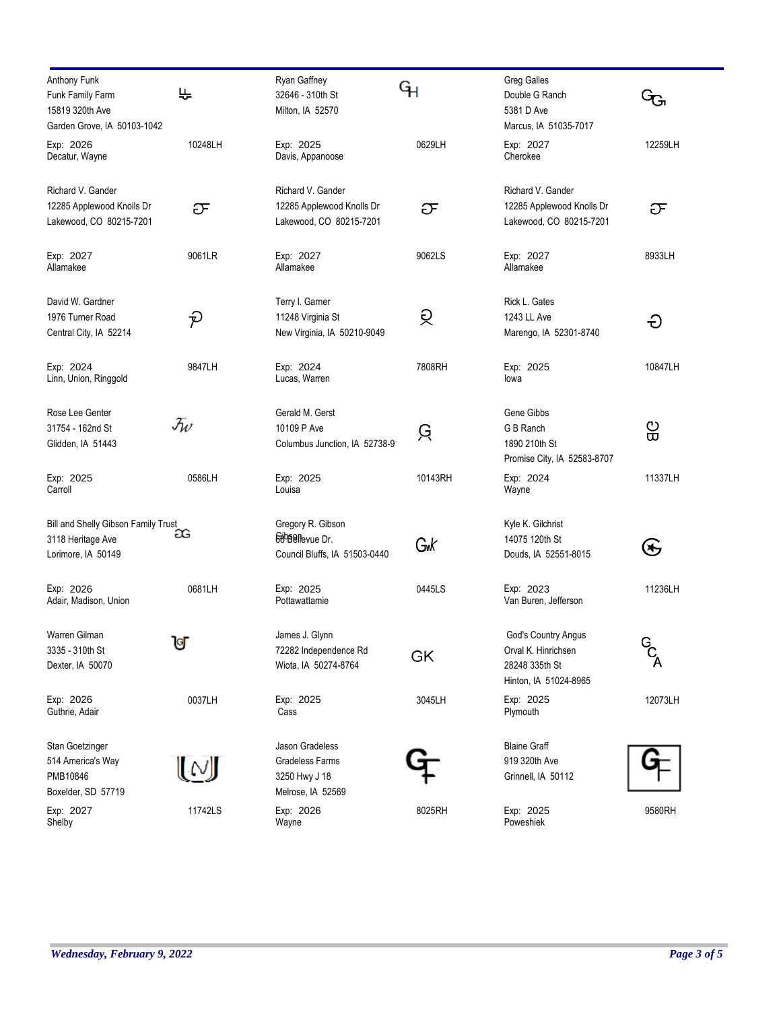| Anthony Funk                                             | ᢣ                           | Ryan Gaffney                                | ዓነ      | <b>Greg Galles</b>                  |         |
|----------------------------------------------------------|-----------------------------|---------------------------------------------|---------|-------------------------------------|---------|
| Funk Family Farm                                         |                             | 32646 - 310th St                            |         | Double G Ranch                      |         |
| 15819 320th Ave                                          |                             | Milton, IA 52570                            |         | 5381 D Ave                          |         |
| Garden Grove, IA 50103-1042                              |                             |                                             |         | Marcus, IA 51035-7017               |         |
| Exp: 2026                                                | 10248LH                     | Exp: 2025                                   | 0629LH  | Exp: 2027                           | 12259LH |
| Decatur, Wayne                                           |                             | Davis, Appanoose                            |         | Cherokee                            |         |
| Richard V. Gander                                        |                             | Richard V. Gander                           |         | Richard V. Gander                   |         |
| 12285 Applewood Knolls Dr                                | ᠋ᡦ                          | 12285 Applewood Knolls Dr                   | ᠍ᡉ      | 12285 Applewood Knolls Dr           | ᠋ᡦ      |
| Lakewood, CO 80215-7201                                  |                             | Lakewood, CO 80215-7201                     |         | Lakewood, CO 80215-7201             |         |
|                                                          |                             |                                             |         |                                     |         |
| Exp: 2027                                                | 9061LR                      | Exp: 2027                                   | 9062LS  | Exp: 2027                           | 8933LH  |
| Allamakee                                                |                             | Allamakee                                   |         | Allamakee                           |         |
| David W. Gardner                                         |                             | Terry I. Garner                             |         | Rick L. Gates                       |         |
| 1976 Turner Road                                         | ညှ                          | 11248 Virginia St                           | ରୁ      | 1243 LL Ave                         |         |
| Central City, IA 52214                                   |                             | New Virginia, IA 50210-9049                 |         | Marengo, IA 52301-8740              | Ð       |
|                                                          |                             |                                             |         |                                     |         |
| Exp: 2024                                                | 9847LH                      | Exp: 2024                                   | 7808RH  | Exp: 2025                           | 10847LH |
| Linn, Union, Ringgold                                    |                             | Lucas, Warren                               |         | lowa                                |         |
| Rose Lee Genter                                          |                             | Gerald M. Gerst                             |         | Gene Gibbs                          |         |
| 31754 - 162nd St                                         | $\mathcal{F}_{\mathcal{W}}$ | 10109 P Ave                                 |         | G B Ranch                           | ဥ္ပ     |
| Glidden, IA 51443                                        |                             | Columbus Junction, IA 52738-9               | ਉ       | 1890 210th St                       |         |
|                                                          |                             |                                             |         | Promise City, IA 52583-8707         |         |
| Exp: 2025                                                | 0586LH                      | Exp: 2025                                   | 10143RH | Exp: 2024                           | 11337LH |
| Carroll                                                  |                             | Louisa                                      |         | Wayne                               |         |
|                                                          |                             |                                             |         |                                     |         |
| Bill and Shelly Gibson Family Trust<br>3118 Heritage Ave | æ                           | Gregory R. Gibson<br><b>Geogellevue Dr.</b> |         | Kyle K. Gilchrist<br>14075 120th St |         |
|                                                          |                             |                                             | Gw      |                                     | E       |
| Lorimore, IA 50149                                       |                             | Council Bluffs, IA 51503-0440               |         | Douds, IA 52551-8015                |         |
| Exp: 2026                                                | 0681LH                      | Exp: 2025                                   | 0445LS  | Exp: 2023                           | 11236LH |
| Adair, Madison, Union                                    |                             | Pottawattamie                               |         | Van Buren, Jefferson                |         |
| Warren Gilman                                            |                             | James J. Glynn                              |         | God's Country Angus                 |         |
| 3335 - 310th St                                          | ឋ                           | 72282 Independence Rd                       |         | Orval K. Hinrichsen                 | $G_A$   |
| Dexter, IA 50070                                         |                             | Wiota, IA 50274-8764                        | GK      | 28248 335th St                      |         |
|                                                          |                             |                                             |         | Hinton, IA 51024-8965               |         |
| Exp: 2026                                                | 0037LH                      | Exp: 2025                                   | 3045LH  | Exp: 2025                           | 12073LH |
| Guthrie, Adair                                           |                             | Cass                                        |         | Plymouth                            |         |
| Stan Goetzinger                                          |                             | Jason Gradeless                             |         | <b>Blaine Graff</b>                 |         |
| 514 America's Way                                        |                             | <b>Gradeless Farms</b>                      |         | 919 320th Ave                       |         |
| PMB10846                                                 | (M                          | 3250 Hwy J 18                               |         | Grinnell, IA 50112                  |         |
| Boxelder, SD 57719                                       |                             | Melrose, IA 52569                           |         |                                     |         |
| Exp: 2027                                                | 11742LS                     | Exp: 2026                                   | 8025RH  | Exp: 2025                           | 9580RH  |
| Shelby                                                   |                             | Wayne                                       |         | Poweshiek                           |         |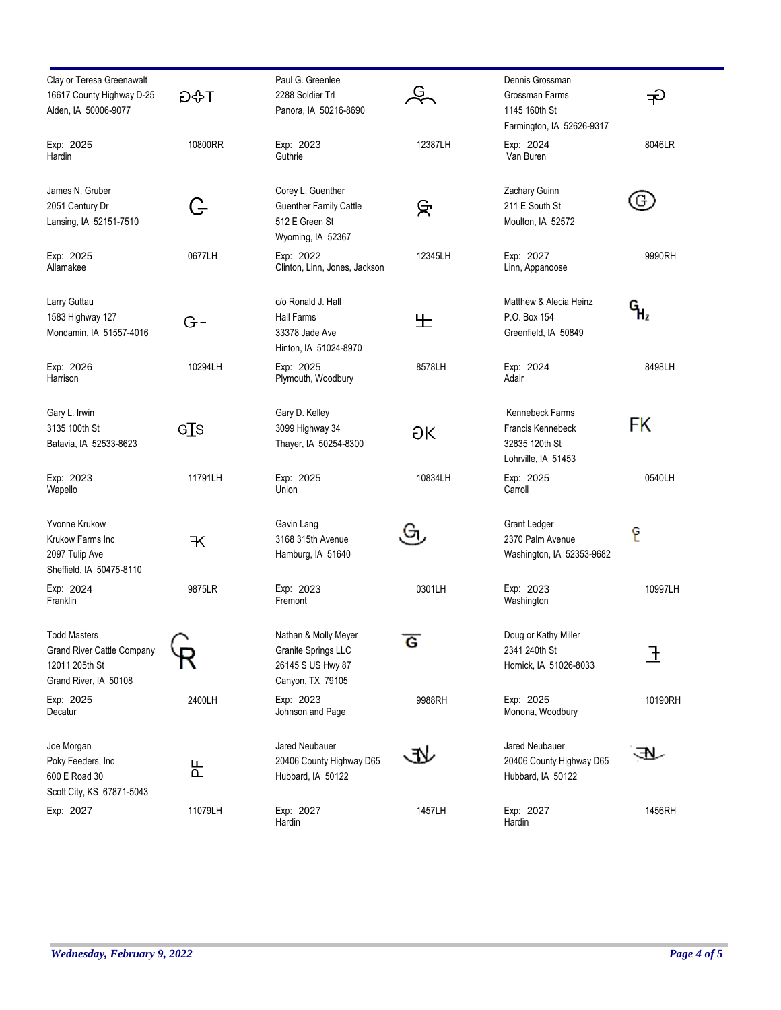| Clay or Teresa Greenawalt<br>16617 County Highway D-25<br>Alden, IA 50006-9077                      | ਮ≎G     | Paul G. Greenlee<br>2288 Soldier Trl<br>Panora, IA 50216-8690                             | Ģ<br>Z  | Dennis Grossman<br>Grossman Farms<br>1145 160th St<br>Farmington, IA 52626-9317 | ╤        |
|-----------------------------------------------------------------------------------------------------|---------|-------------------------------------------------------------------------------------------|---------|---------------------------------------------------------------------------------|----------|
| Exp: 2025<br>Hardin                                                                                 | 10800RR | Exp: 2023<br>Guthrie                                                                      | 12387LH | Exp: 2024<br>Van Buren                                                          | 8046LR   |
| James N. Gruber<br>2051 Century Dr<br>Lansing, IA 52151-7510                                        | G       | Corey L. Guenther<br><b>Guenther Family Cattle</b><br>512 E Green St<br>Wyoming, IA 52367 | ਸ਼ਿ     | Zachary Guinn<br>211 E South St<br>Moulton, IA 52572                            | G.       |
| Exp: 2025<br>Allamakee                                                                              | 0677LH  | Exp: 2022<br>Clinton, Linn, Jones, Jackson                                                | 12345LH | Exp: 2027<br>Linn, Appanoose                                                    | 9990RH   |
| Larry Guttau<br>1583 Highway 127<br>Mondamin, IA 51557-4016                                         | $G-$    | c/o Ronald J. Hall<br>Hall Farms<br>33378 Jade Ave<br>Hinton, IA 51024-8970               | 生       | Matthew & Alecia Heinz<br>P.O. Box 154<br>Greenfield, IA 50849                  | ር<br>ዝ   |
| Exp: 2026<br>Harrison                                                                               | 10294LH | Exp: 2025<br>Plymouth, Woodbury                                                           | 8578LH  | Exp: 2024<br>Adair                                                              | 8498LH   |
| Gary L. Irwin<br>3135 100th St<br>Batavia, IA 52533-8623                                            | GIS     | Gary D. Kelley<br>3099 Highway 34<br>Thayer, IA 50254-8300                                | ЭK      | Kennebeck Farms<br>Francis Kennebeck<br>32835 120th St<br>Lohrville, IA 51453   | FK       |
| Exp: 2023<br>Wapello                                                                                | 11791LH | Exp: 2025<br>Union                                                                        | 10834LH | Exp: 2025<br>Carroll                                                            | 0540LH   |
| <b>Yvonne Krukow</b><br>Krukow Farms Inc<br>2097 Tulip Ave<br>Sheffield, IA 50475-8110              | Ҡ       | Gavin Lang<br>3168 315th Avenue<br>Hamburg, IA 51640                                      | Gп      | Grant Ledger<br>2370 Palm Avenue<br>Washington, IA 52353-9682                   | E        |
| Exp: 2024<br>Franklin                                                                               | 9875LR  | Exp: 2023<br>Fremont                                                                      | 0301LH  | Exp: 2023<br>Washington                                                         | 10997LH  |
| <b>Todd Masters</b><br><b>Grand River Cattle Company</b><br>12011 205th St<br>Grand River, IA 50108 |         | Nathan & Molly Meyer<br>Granite Springs LLC<br>26145 S US Hwy 87<br>Canyon, TX 79105      | G       | Doug or Kathy Miller<br>2341 240th St<br>Hornick, IA 51026-8033                 | <u>ጉ</u> |
| Exp: 2025<br>Decatur                                                                                | 2400LH  | Exp: 2023<br>Johnson and Page                                                             | 9988RH  | Exp: 2025<br>Monona, Woodbury                                                   | 10190RH  |
| Joe Morgan<br>Poky Feeders, Inc.<br>600 E Road 30<br>Scott City, KS 67871-5043                      | 눈       | Jared Neubauer<br>20406 County Highway D65<br>Hubbard, IA 50122                           |         | Jared Neubauer<br>20406 County Highway D65<br>Hubbard, IA 50122                 | RI.      |
| Exp: 2027                                                                                           | 11079LH | Exp: 2027<br>Hardin                                                                       | 1457LH  | Exp: 2027<br>Hardin                                                             | 1456RH   |